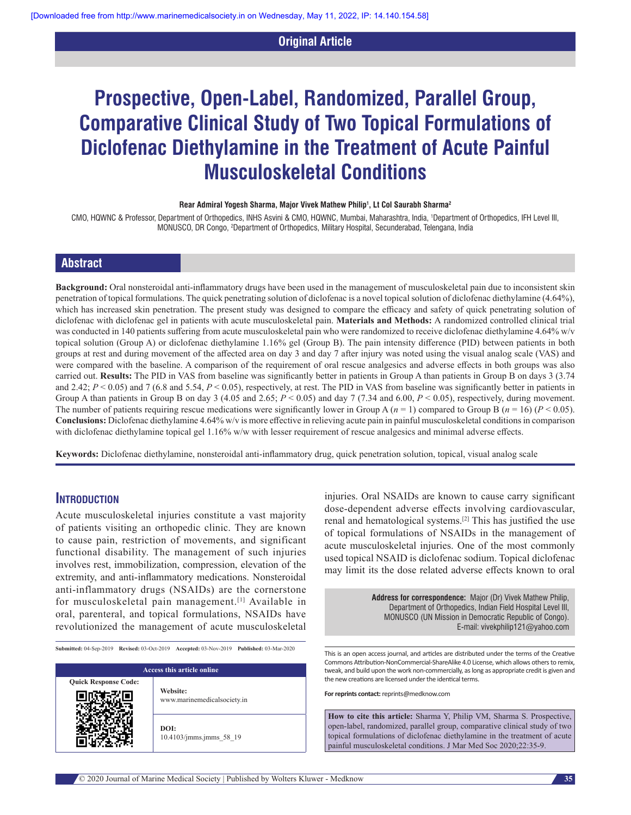### **Original Article**

# **Prospective, Open‑Label, Randomized, Parallel Group, Comparative Clinical Study of Two Topical Formulations of Diclofenac Diethylamine in the Treatment of Acute Painful Musculoskeletal Conditions**

#### **Rear Admiral Yogesh Sharma, Major Vivek Mathew Philip1 , Lt Col Saurabh Sharma2**

CMO, HQWNC & Professor, Department of Orthopedics, INHS Asvini & CMO, HQWNC, Mumbai, Maharashtra, India, 1 Department of Orthopedics, IFH Level III, MONUSCO, DR Congo, 2 Department of Orthopedics, Military Hospital, Secunderabad, Telengana, India

#### **Abstract**

**Background:** Oral nonsteroidal anti‑inflammatory drugs have been used in the management of musculoskeletal pain due to inconsistent skin penetration of topical formulations. The quick penetrating solution of diclofenac is a novel topical solution of diclofenac diethylamine (4.64%), which has increased skin penetration. The present study was designed to compare the efficacy and safety of quick penetrating solution of diclofenac with diclofenac gel in patients with acute musculoskeletal pain. **Materials and Methods:** A randomized controlled clinical trial was conducted in 140 patients suffering from acute musculoskeletal pain who were randomized to receive diclofenac diethylamine 4.64% w/v topical solution (Group A) or diclofenac diethylamine 1.16% gel (Group B). The pain intensity difference (PID) between patients in both groups at rest and during movement of the affected area on day 3 and day 7 after injury was noted using the visual analog scale (VAS) and were compared with the baseline. A comparison of the requirement of oral rescue analgesics and adverse effects in both groups was also carried out. **Results:** The PID in VAS from baseline was significantly better in patients in Group A than patients in Group B on days 3 (3.74 and 2.42;  $P \le 0.05$  and 7 (6.8 and 5.54,  $P \le 0.05$ ), respectively, at rest. The PID in VAS from baseline was significantly better in patients in Group A than patients in Group B on day 3 (4.05 and 2.65;  $P < 0.05$ ) and day 7 (7.34 and 6.00,  $P < 0.05$ ), respectively, during movement. The number of patients requiring rescue medications were significantly lower in Group A  $(n = 1)$  compared to Group B  $(n = 16)$   $(P < 0.05)$ . **Conclusions:** Diclofenac diethylamine 4.64% w/v is more effective in relieving acute pain in painful musculoskeletal conditions in comparison with diclofenac diethylamine topical gel 1.16% w/w with lesser requirement of rescue analgesics and minimal adverse effects.

Keywords: Diclofenac diethylamine, nonsteroidal anti-inflammatory drug, quick penetration solution, topical, visual analog scale

#### **Introduction**

Acute musculoskeletal injuries constitute a vast majority of patients visiting an orthopedic clinic. They are known to cause pain, restriction of movements, and significant functional disability. The management of such injuries involves rest, immobilization, compression, elevation of the extremity, and anti-inflammatory medications. Nonsteroidal anti-inflammatory drugs (NSAIDs) are the cornerstone for musculoskeletal pain management.[1] Available in oral, parenteral, and topical formulations, NSAIDs have revolutionized the management of acute musculoskeletal

**Submitted:** 04-Sep-2019 **Revised:** 03-Oct-2019 **Accepted:** 03-Nov-2019 **Published:** 03-Mar-2020

| Access this article online  |                                         |  |
|-----------------------------|-----------------------------------------|--|
| <b>Quick Response Code:</b> | Website:<br>www.marinemedicalsociety.in |  |
|                             | DOI:<br>10.4103/jmms.jmms 58 19         |  |

injuries. Oral NSAIDs are known to cause carry significant dose‑dependent adverse effects involving cardiovascular, renal and hematological systems.[2] This has justified the use of topical formulations of NSAIDs in the management of acute musculoskeletal injuries. One of the most commonly used topical NSAID is diclofenac sodium. Topical diclofenac may limit its the dose related adverse effects known to oral

> **Address for correspondence:** Major (Dr) Vivek Mathew Philip, Department of Orthopedics, Indian Field Hospital Level III, MONUSCO (UN Mission in Democratic Republic of Congo). E‑mail: vivekphilip121@yahoo.com

This is an open access journal, and articles are distributed under the terms of the Creative Commons Attribution‑NonCommercial‑ShareAlike 4.0 License, which allows others to remix, tweak, and build upon the work non‑commercially, as long as appropriate credit is given and the new creations are licensed under the identical terms.

**For reprints contact:** reprints@medknow.com

**How to cite this article:** Sharma Y, Philip VM, Sharma S. Prospective, open-label, randomized, parallel group, comparative clinical study of two topical formulations of diclofenac diethylamine in the treatment of acute painful musculoskeletal conditions. J Mar Med Soc 2020;22:35-9.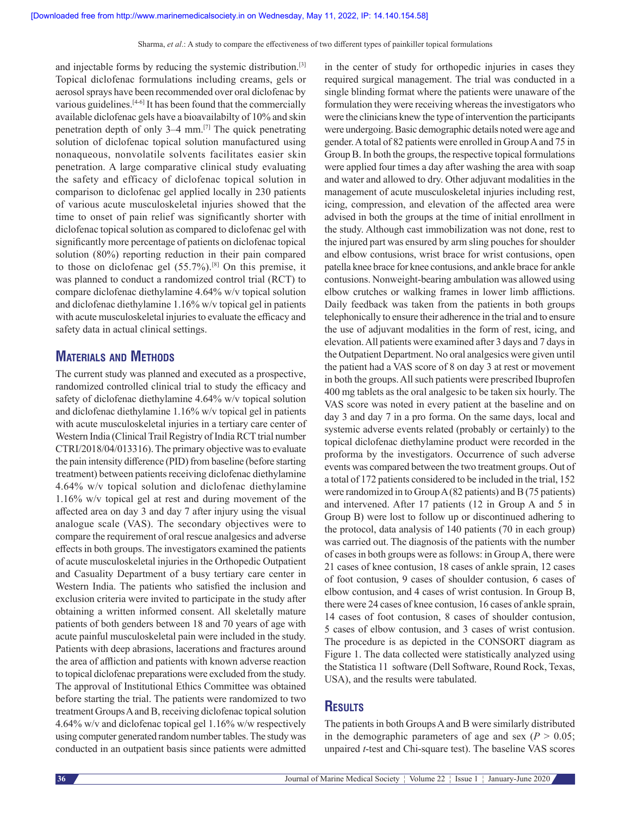and injectable forms by reducing the systemic distribution.[3] Topical diclofenac formulations including creams, gels or aerosol sprays have been recommended over oral diclofenac by various guidelines.[4-6] It has been found that the commercially available diclofenac gels have a bioavailabilty of 10% and skin penetration depth of only 3–4 mm.[7] The quick penetrating solution of diclofenac topical solution manufactured using nonaqueous, nonvolatile solvents facilitates easier skin penetration. A large comparative clinical study evaluating the safety and efficacy of diclofenac topical solution in comparison to diclofenac gel applied locally in 230 patients of various acute musculoskeletal injuries showed that the time to onset of pain relief was significantly shorter with diclofenac topical solution as compared to diclofenac gel with significantly more percentage of patients on diclofenac topical solution (80%) reporting reduction in their pain compared to those on diclofenac gel (55.7%).[8] On this premise, it was planned to conduct a randomized control trial (RCT) to compare diclofenac diethylamine 4.64% w/v topical solution and diclofenac diethylamine 1.16% w/v topical gel in patients with acute musculoskeletal injuries to evaluate the efficacy and safety data in actual clinical settings.

## **Materials and Methods**

The current study was planned and executed as a prospective, randomized controlled clinical trial to study the efficacy and safety of diclofenac diethylamine 4.64% w/v topical solution and diclofenac diethylamine 1.16% w/v topical gel in patients with acute musculoskeletal injuries in a tertiary care center of Western India (Clinical Trail Registry of India RCT trial number CTRI/2018/04/013316). The primary objective was to evaluate the pain intensity difference (PID) from baseline (before starting treatment) between patients receiving diclofenac diethylamine 4.64% w/v topical solution and diclofenac diethylamine 1.16% w/v topical gel at rest and during movement of the affected area on day 3 and day 7 after injury using the visual analogue scale (VAS). The secondary objectives were to compare the requirement of oral rescue analgesics and adverse effects in both groups. The investigators examined the patients of acute musculoskeletal injuries in the Orthopedic Outpatient and Casuality Department of a busy tertiary care center in Western India. The patients who satisfied the inclusion and exclusion criteria were invited to participate in the study after obtaining a written informed consent. All skeletally mature patients of both genders between 18 and 70 years of age with acute painful musculoskeletal pain were included in the study. Patients with deep abrasions, lacerations and fractures around the area of affliction and patients with known adverse reaction to topical diclofenac preparations were excluded from the study. The approval of Institutional Ethics Committee was obtained before starting the trial. The patients were randomized to two treatment GroupsA and B, receiving diclofenac topical solution 4.64% w/v and diclofenac topical gel 1.16% w/w respectively using computer generated random number tables. The study was conducted in an outpatient basis since patients were admitted

in the center of study for orthopedic injuries in cases they required surgical management. The trial was conducted in a single blinding format where the patients were unaware of the formulation they were receiving whereas the investigators who were the clinicians knew the type of intervention the participants were undergoing. Basic demographic details noted were age and gender. Atotal of 82 patients were enrolled in GroupA and 75 in GroupB. In both the groups, the respective topical formulations were applied four times a day after washing the area with soap and water and allowed to dry. Other adjuvant modalities in the management of acute musculoskeletal injuries including rest, icing, compression, and elevation of the affected area were advised in both the groups at the time of initial enrollment in the study. Although cast immobilization was not done, rest to the injured part was ensured by arm sling pouches for shoulder and elbow contusions, wrist brace for wrist contusions, open patella knee brace for knee contusions, and ankle brace for ankle contusions. Nonweight-bearing ambulation was allowed using elbow crutches or walking frames in lower limb afflictions. Daily feedback was taken from the patients in both groups telephonically to ensure their adherence in the trial and to ensure the use of adjuvant modalities in the form of rest, icing, and elevation. All patients were examined after 3 days and 7 days in the Outpatient Department. No oral analgesics were given until the patient had a VAS score of 8 on day 3 at rest or movement in both the groups. All such patients were prescribed Ibuprofen 400 mg tablets as the oral analgesic to be taken six hourly. The VAS score was noted in every patient at the baseline and on day 3 and day 7 in a pro forma. On the same days, local and systemic adverse events related (probably or certainly) to the topical diclofenac diethylamine product were recorded in the proforma by the investigators. Occurrence of such adverse events was compared between the two treatment groups. Out of a total of 172 patients considered to be included in the trial, 152 were randomized in to GroupA(82 patients) and B(75 patients) and intervened. After 17 patients (12 in Group A and 5 in Group B) were lost to follow up or discontinued adhering to the protocol, data analysis of 140 patients (70 in each group) was carried out. The diagnosis of the patients with the number of cases in both groups were as follows: in GroupA, there were 21 cases of knee contusion, 18 cases of ankle sprain, 12 cases of foot contusion, 9 cases of shoulder contusion, 6 cases of elbow contusion, and 4 cases of wrist contusion. In Group B, there were 24 cases of knee contusion, 16 cases of ankle sprain, 14 cases of foot contusion, 8 cases of shoulder contusion, 5 cases of elbow contusion, and 3 cases of wrist contusion. The procedure is as depicted in the CONSORT diagram as Figure 1. The data collected were statistically analyzed using the Statistica 11 software (Dell Software, Round Rock, Texas, USA), and the results were tabulated.

#### **Results**

The patients in both Groups A and B were similarly distributed in the demographic parameters of age and sex ( $P > 0.05$ ; unpaired *t*-test and Chi-square test). The baseline VAS scores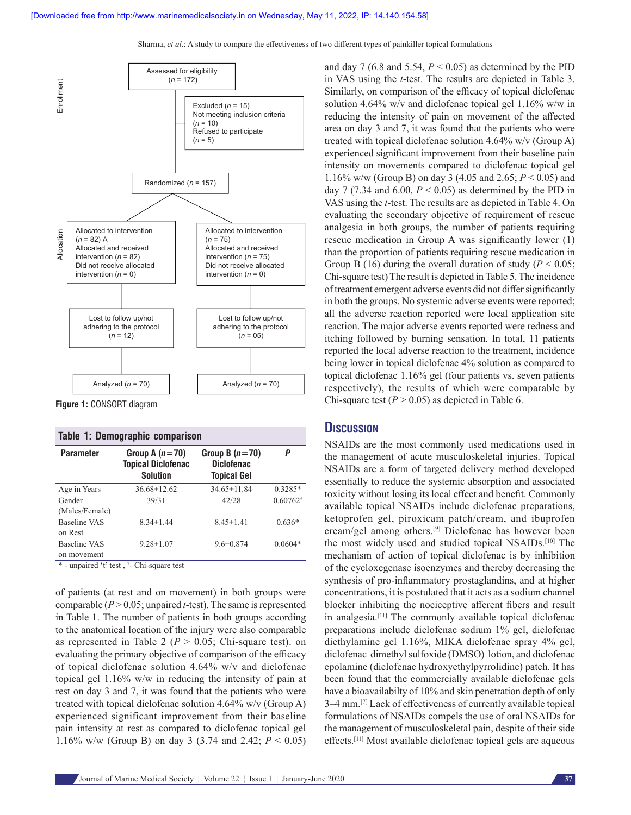Sharma, *et al*.: A study to compare the effectiveness of two different types of painkiller topical formulations



**Figure 1:** CONSORT diagram

| Table 1: Demographic comparison |                                                                  |                                                             |                     |  |
|---------------------------------|------------------------------------------------------------------|-------------------------------------------------------------|---------------------|--|
| <b>Parameter</b>                | Group A $(n=70)$<br><b>Topical Diclofenac</b><br><b>Solution</b> | Group B $(n=70)$<br><b>Diclofenac</b><br><b>Topical Gel</b> | P                   |  |
| Age in Years                    | $36.68 \pm 12.62$                                                | $34.65 \pm 11.84$                                           | $0.3285*$           |  |
| Gender<br>(Males/Female)        | 39/31                                                            | 42/28                                                       | $0.60762^{\dagger}$ |  |
| Baseline VAS<br>on Rest         | $8.34 \pm 1.44$                                                  | $8.45 \pm 1.41$                                             | $0.636*$            |  |
| Baseline VAS<br>on movement     | $9.28 \pm 1.07$                                                  | $9.6 \pm 0.874$                                             | $0.0604*$           |  |

\* ‑ unpaired 't' test , † - Chi-square test

of patients (at rest and on movement) in both groups were comparable ( $P > 0.05$ ; unpaired *t*-test). The same is represented in Table 1. The number of patients in both groups according to the anatomical location of the injury were also comparable as represented in Table 2 ( $P > 0.05$ ; Chi-square test). on evaluating the primary objective of comparison of the efficacy of topical diclofenac solution 4.64% w/v and diclofenac topical gel 1.16% w/w in reducing the intensity of pain at rest on day 3 and 7, it was found that the patients who were treated with topical diclofenac solution 4.64% w/v (Group A) experienced significant improvement from their baseline pain intensity at rest as compared to diclofenac topical gel 1.16% w/w (Group B) on day 3 (3.74 and 2.42; *P* < 0.05) and day 7 (6.8 and 5.54,  $P < 0.05$ ) as determined by the PID in VAS using the *t*-test. The results are depicted in Table 3. Similarly, on comparison of the efficacy of topical diclofenac solution 4.64% w/v and diclofenac topical gel 1.16% w/w in reducing the intensity of pain on movement of the affected area on day 3 and 7, it was found that the patients who were treated with topical diclofenac solution 4.64% w/v (Group A) experienced significant improvement from their baseline pain intensity on movements compared to diclofenac topical gel 1.16% w/w (Group B) on day 3 (4.05 and 2.65; *P* < 0.05) and day 7 (7.34 and 6.00, *P* < 0.05) as determined by the PID in VAS using the *t*-test. The results are as depicted in Table 4. On evaluating the secondary objective of requirement of rescue analgesia in both groups, the number of patients requiring rescue medication in Group A was significantly lower (1) than the proportion of patients requiring rescue medication in Group B (16) during the overall duration of study ( $P < 0.05$ ; Chi-square test) The result is depicted in Table 5. The incidence of treatment emergent adverse events did not differ significantly in both the groups. No systemic adverse events were reported; all the adverse reaction reported were local application site reaction. The major adverse events reported were redness and itching followed by burning sensation. In total, 11 patients reported the local adverse reaction to the treatment, incidence being lower in topical diclofenac 4% solution as compared to topical diclofenac 1.16% gel (four patients vs. seven patients respectively), the results of which were comparable by Chi-square test  $(P > 0.05)$  as depicted in Table 6.

#### **Discussion**

NSAIDs are the most commonly used medications used in the management of acute musculoskeletal injuries. Topical NSAIDs are a form of targeted delivery method developed essentially to reduce the systemic absorption and associated toxicity without losing its local effect and benefit. Commonly available topical NSAIDs include diclofenac preparations, ketoprofen gel, piroxicam patch/cream, and ibuprofen cream/gel among others.[9] Diclofenac has however been the most widely used and studied topical NSAIDs.<sup>[10]</sup> The mechanism of action of topical diclofenac is by inhibition of the cycloxegenase isoenzymes and thereby decreasing the synthesis of pro-inflammatory prostaglandins, and at higher concentrations, it is postulated that it acts as a sodium channel blocker inhibiting the nociceptive afferent fibers and result in analgesia.[11] The commonly available topical diclofenac preparations include diclofenac sodium 1% gel, diclofenac diethylamine gel 1.16%, MIKA diclofenac spray 4% gel, diclofenac dimethyl sulfoxide (DMSO) lotion, and diclofenac epolamine (diclofenac hydroxyethylpyrrolidine) patch. It has been found that the commercially available diclofenac gels have a bioavailabilty of 10% and skin penetration depth of only 3–4 mm.[7] Lack of effectiveness of currently available topical formulations of NSAIDs compels the use of oral NSAIDs for the management of musculoskeletal pain, despite of their side effects.[11] Most available diclofenac topical gels are aqueous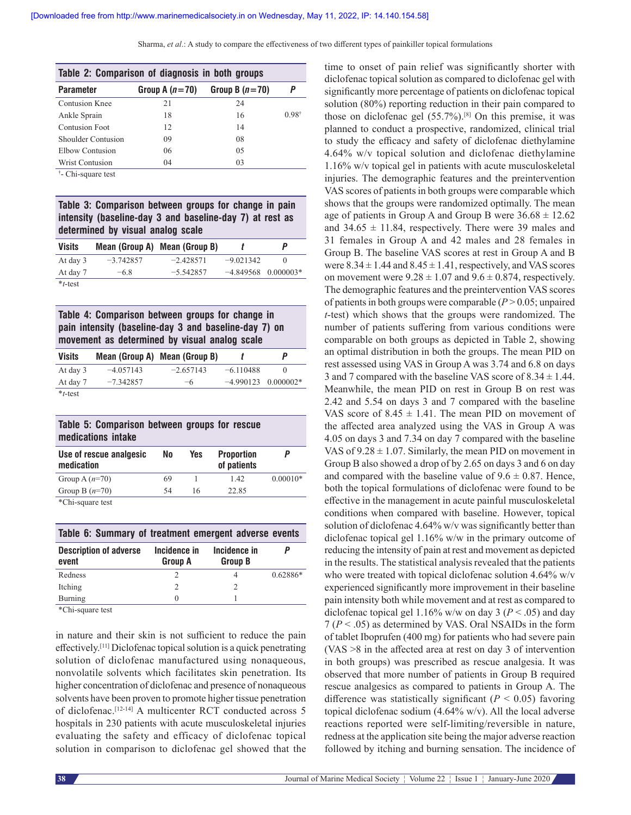Sharma, *et al*.: A study to compare the effectiveness of two different types of painkiller topical formulations

| Table 2: Comparison of diagnosis in both groups |                  |                  |                  |  |
|-------------------------------------------------|------------------|------------------|------------------|--|
| <b>Parameter</b>                                | Group A $(n=70)$ | Group B $(n=70)$ |                  |  |
| Contusion Knee                                  | 21               | 24               |                  |  |
| Ankle Sprain                                    | 18               | 16               | $0.98^{\dagger}$ |  |
| <b>Contusion Foot</b>                           | 12               | 14               |                  |  |
| Shoulder Contusion                              | 09               | 08               |                  |  |
| Elbow Contusion                                 | 06               | 0 <sub>5</sub>   |                  |  |
| <b>Wrist Contusion</b>                          | 04               | 03               |                  |  |

† - Chi-square test

**Table 3: Comparison between groups for change in pain intensity (baseline‑day 3 and baseline‑day 7) at rest as determined by visual analog scale**

| <b>Visits</b> |             | Mean (Group A) Mean (Group B) |                       | P |
|---------------|-------------|-------------------------------|-----------------------|---|
| At day 3      | $-3.742857$ | $-2.428571$                   | $-9.021342$           |   |
| At day 7      | $-6.8$      | $-5.542857$                   | $-4.849568$ 0.000003* |   |
| $*_{t$ -test  |             |                               |                       |   |

**Table 4: Comparison between groups for change in pain intensity (baseline‑day 3 and baseline‑day 7) on movement as determined by visual analog scale**

| <b>Visits</b> |             | Mean (Group A) Mean (Group B) |                       | p |
|---------------|-------------|-------------------------------|-----------------------|---|
| At day 3      | $-4.057143$ | $-2.657143$                   | $-6.110488$           |   |
| At day 7      | $-7.342857$ | -6                            | $-4.990123$ 0.000002* |   |
| $*_{t-test}$  |             |                               |                       |   |

#### **Table 5: Comparison between groups for rescue medications intake**

| Use of rescue analgesic<br>medication | No | Yes | <b>Proportion</b><br>of patients | P          |
|---------------------------------------|----|-----|----------------------------------|------------|
| Group A $(n=70)$                      | 69 |     | 1.42                             | $0.00010*$ |
| Group B $(n=70)$                      | 54 | 16  | 22.85                            |            |
| *Chi-square test                      |    |     |                                  |            |

**Table 6: Summary of treatment emergent adverse events Description of adverse event Incidence in Group A Incidence in Group B** *P* Redness 2 4 0.62886\* Itching 2 2 Burning 0 1

\*Chi-square test

in nature and their skin is not sufficient to reduce the pain effectively.[11] Diclofenac topical solution is a quick penetrating solution of diclofenac manufactured using nonaqueous, nonvolatile solvents which facilitates skin penetration. Its higher concentration of diclofenac and presence of nonaqueous solvents have been proven to promote higher tissue penetration of diclofenac.[12-14] A multicenter RCT conducted across 5 hospitals in 230 patients with acute musculoskeletal injuries evaluating the safety and efficacy of diclofenac topical solution in comparison to diclofenac gel showed that the time to onset of pain relief was significantly shorter with diclofenac topical solution as compared to diclofenac gel with significantly more percentage of patients on diclofenac topical solution (80%) reporting reduction in their pain compared to those on diclofenac gel  $(55.7\%)$ .<sup>[8]</sup> On this premise, it was planned to conduct a prospective, randomized, clinical trial to study the efficacy and safety of diclofenac diethylamine 4.64% w/v topical solution and diclofenac diethylamine 1.16% w/v topical gel in patients with acute musculoskeletal injuries. The demographic features and the preintervention VAS scores of patients in both groups were comparable which shows that the groups were randomized optimally. The mean age of patients in Group A and Group B were  $36.68 \pm 12.62$ and  $34.65 \pm 11.84$ , respectively. There were 39 males and 31 females in Group A and 42 males and 28 females in Group B. The baseline VAS scores at rest in Group A and B were  $8.34 \pm 1.44$  and  $8.45 \pm 1.41$ , respectively, and VAS scores on movement were  $9.28 \pm 1.07$  and  $9.6 \pm 0.874$ , respectively. The demographic features and the preintervention VAS scores of patients in both groups were comparable (*P* > 0.05; unpaired *t*-test) which shows that the groups were randomized. The number of patients suffering from various conditions were comparable on both groups as depicted in Table 2, showing an optimal distribution in both the groups. The mean PID on rest assessed using VAS in Group A was 3.74 and 6.8 on days 3 and 7 compared with the baseline VAS score of  $8.34 \pm 1.44$ . Meanwhile, the mean PID on rest in Group B on rest was 2.42 and 5.54 on days 3 and 7 compared with the baseline VAS score of  $8.45 \pm 1.41$ . The mean PID on movement of the affected area analyzed using the VAS in Group A was 4.05 on days 3 and 7.34 on day 7 compared with the baseline VAS of  $9.28 \pm 1.07$ . Similarly, the mean PID on movement in Group B also showed a drop of by 2.65 on days 3 and 6 on day and compared with the baseline value of  $9.6 \pm 0.87$ . Hence, both the topical formulations of diclofenac were found to be effective in the management in acute painful musculoskeletal conditions when compared with baseline. However, topical solution of diclofenac 4.64% w/v was significantly better than diclofenac topical gel 1.16% w/w in the primary outcome of reducing the intensity of pain at rest and movement as depicted in the results. The statistical analysis revealed that the patients who were treated with topical diclofenac solution 4.64% w/v experienced significantly more improvement in their baseline pain intensity both while movement and at rest as compared to diclofenac topical gel 1.16% w/w on day 3 ( $P < .05$ ) and day 7 (*P* < .05) as determined by VAS. Oral NSAIDs in the form of tablet Iboprufen (400 mg) for patients who had severe pain (VAS >8 in the affected area at rest on day 3 of intervention in both groups) was prescribed as rescue analgesia. It was observed that more number of patients in Group B required rescue analgesics as compared to patients in Group A. The difference was statistically significant  $(P < 0.05)$  favoring topical diclofenac sodium (4.64% w/v). All the local adverse reactions reported were self-limiting/reversible in nature, redness at the application site being the major adverse reaction followed by itching and burning sensation. The incidence of